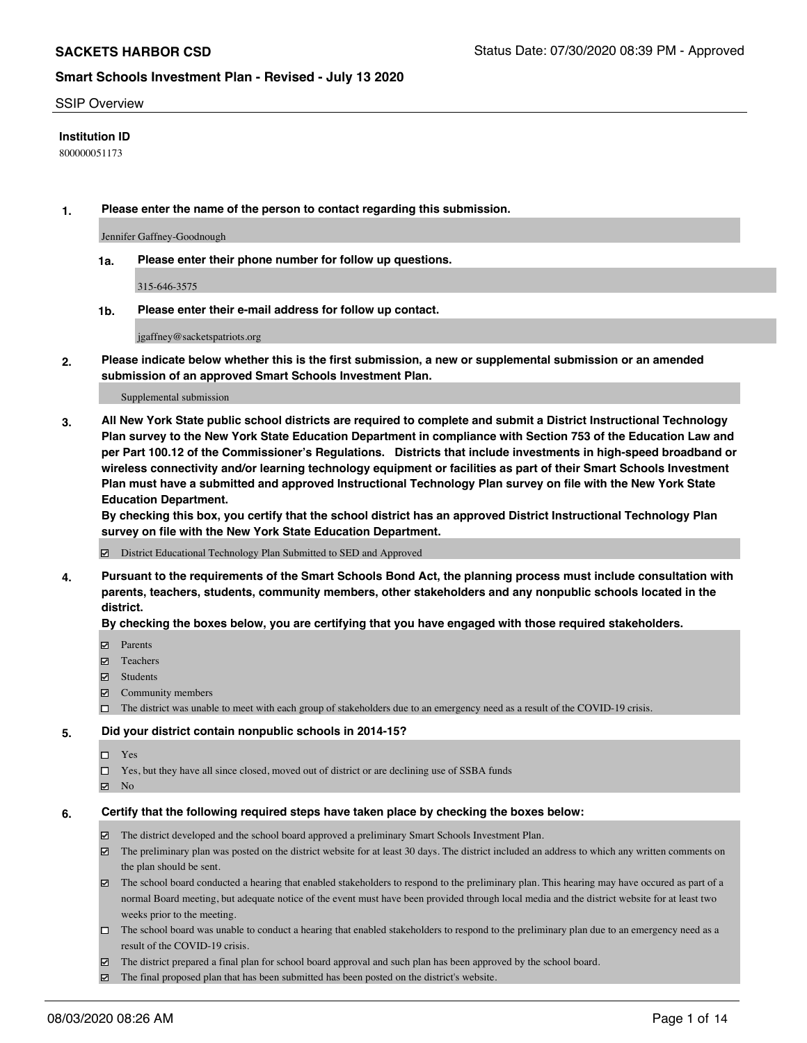### SSIP Overview

### **Institution ID**

800000051173

**1. Please enter the name of the person to contact regarding this submission.**

Jennifer Gaffney-Goodnough

**1a. Please enter their phone number for follow up questions.**

315-646-3575

**1b. Please enter their e-mail address for follow up contact.**

jgaffney@sacketspatriots.org

**2. Please indicate below whether this is the first submission, a new or supplemental submission or an amended submission of an approved Smart Schools Investment Plan.**

#### Supplemental submission

**3. All New York State public school districts are required to complete and submit a District Instructional Technology Plan survey to the New York State Education Department in compliance with Section 753 of the Education Law and per Part 100.12 of the Commissioner's Regulations. Districts that include investments in high-speed broadband or wireless connectivity and/or learning technology equipment or facilities as part of their Smart Schools Investment Plan must have a submitted and approved Instructional Technology Plan survey on file with the New York State Education Department.** 

**By checking this box, you certify that the school district has an approved District Instructional Technology Plan survey on file with the New York State Education Department.**

District Educational Technology Plan Submitted to SED and Approved

**4. Pursuant to the requirements of the Smart Schools Bond Act, the planning process must include consultation with parents, teachers, students, community members, other stakeholders and any nonpublic schools located in the district.** 

### **By checking the boxes below, you are certifying that you have engaged with those required stakeholders.**

- **Ø** Parents
- Teachers
- Students
- $\boxtimes$  Community members
- The district was unable to meet with each group of stakeholders due to an emergency need as a result of the COVID-19 crisis.

### **5. Did your district contain nonpublic schools in 2014-15?**

- $\neg$  Yes
- □ Yes, but they have all since closed, moved out of district or are declining use of SSBA funds
- **☑** No

### **6. Certify that the following required steps have taken place by checking the boxes below:**

- The district developed and the school board approved a preliminary Smart Schools Investment Plan.
- $\boxtimes$  The preliminary plan was posted on the district website for at least 30 days. The district included an address to which any written comments on the plan should be sent.
- The school board conducted a hearing that enabled stakeholders to respond to the preliminary plan. This hearing may have occured as part of a normal Board meeting, but adequate notice of the event must have been provided through local media and the district website for at least two weeks prior to the meeting.
- The school board was unable to conduct a hearing that enabled stakeholders to respond to the preliminary plan due to an emergency need as a result of the COVID-19 crisis.
- The district prepared a final plan for school board approval and such plan has been approved by the school board.
- $\boxtimes$  The final proposed plan that has been submitted has been posted on the district's website.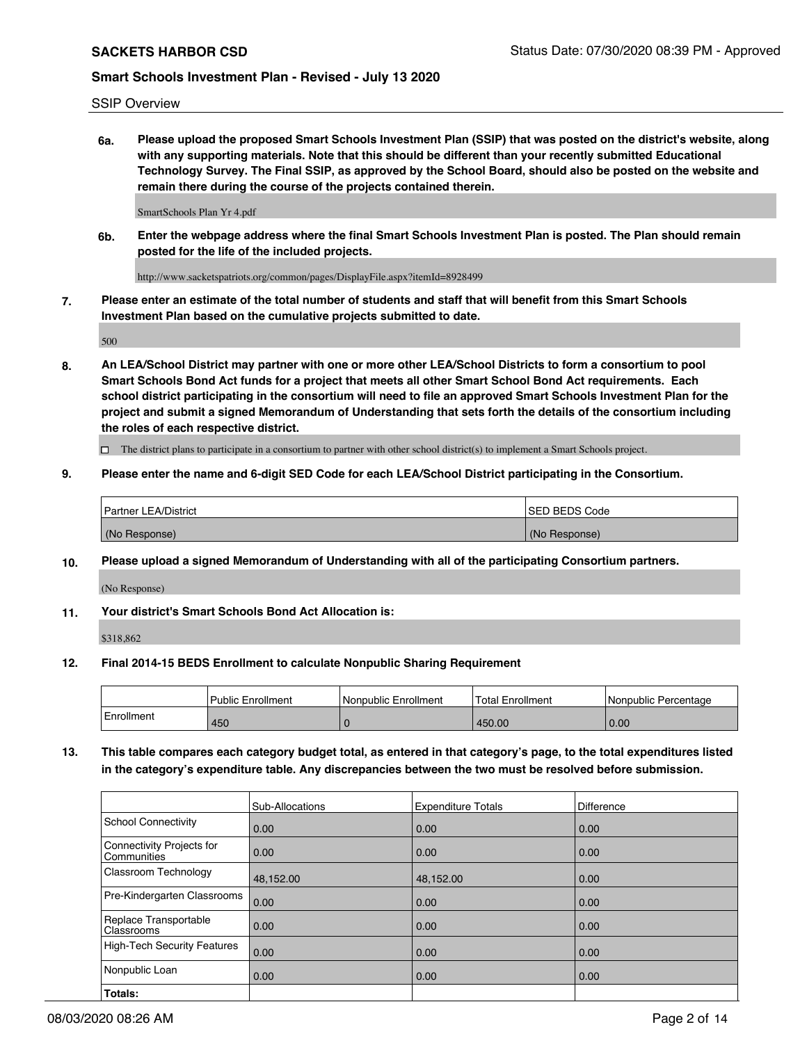SSIP Overview

**6a. Please upload the proposed Smart Schools Investment Plan (SSIP) that was posted on the district's website, along with any supporting materials. Note that this should be different than your recently submitted Educational Technology Survey. The Final SSIP, as approved by the School Board, should also be posted on the website and remain there during the course of the projects contained therein.**

SmartSchools Plan Yr 4.pdf

**6b. Enter the webpage address where the final Smart Schools Investment Plan is posted. The Plan should remain posted for the life of the included projects.**

http://www.sacketspatriots.org/common/pages/DisplayFile.aspx?itemId=8928499

**7. Please enter an estimate of the total number of students and staff that will benefit from this Smart Schools Investment Plan based on the cumulative projects submitted to date.**

500

**8. An LEA/School District may partner with one or more other LEA/School Districts to form a consortium to pool Smart Schools Bond Act funds for a project that meets all other Smart School Bond Act requirements. Each school district participating in the consortium will need to file an approved Smart Schools Investment Plan for the project and submit a signed Memorandum of Understanding that sets forth the details of the consortium including the roles of each respective district.**

 $\Box$  The district plans to participate in a consortium to partner with other school district(s) to implement a Smart Schools project.

## **9. Please enter the name and 6-digit SED Code for each LEA/School District participating in the Consortium.**

| Partner LEA/District | <b>ISED BEDS Code</b> |
|----------------------|-----------------------|
| (No Response)        | (No Response)         |

## **10. Please upload a signed Memorandum of Understanding with all of the participating Consortium partners.**

(No Response)

**11. Your district's Smart Schools Bond Act Allocation is:**

\$318,862

### **12. Final 2014-15 BEDS Enrollment to calculate Nonpublic Sharing Requirement**

|            | <b>Public Enrollment</b> | Nonpublic Enrollment | Total Enrollment | l Nonpublic Percentage |
|------------|--------------------------|----------------------|------------------|------------------------|
| Enrollment | 450                      |                      | 450.00           | 0.00                   |

**13. This table compares each category budget total, as entered in that category's page, to the total expenditures listed in the category's expenditure table. Any discrepancies between the two must be resolved before submission.**

|                                          | Sub-Allocations | <b>Expenditure Totals</b> | Difference |
|------------------------------------------|-----------------|---------------------------|------------|
| <b>School Connectivity</b>               | 0.00            | 0.00                      | 0.00       |
| Connectivity Projects for<br>Communities | 0.00            | 0.00                      | 0.00       |
| Classroom Technology                     | 48,152.00       | 48,152.00                 | 0.00       |
| Pre-Kindergarten Classrooms              | 0.00            | 0.00                      | 0.00       |
| Replace Transportable<br>Classrooms      | 0.00            | 0.00                      | 0.00       |
| High-Tech Security Features              | 0.00            | 0.00                      | 0.00       |
| Nonpublic Loan                           | 0.00            | 0.00                      | 0.00       |
| Totals:                                  |                 |                           |            |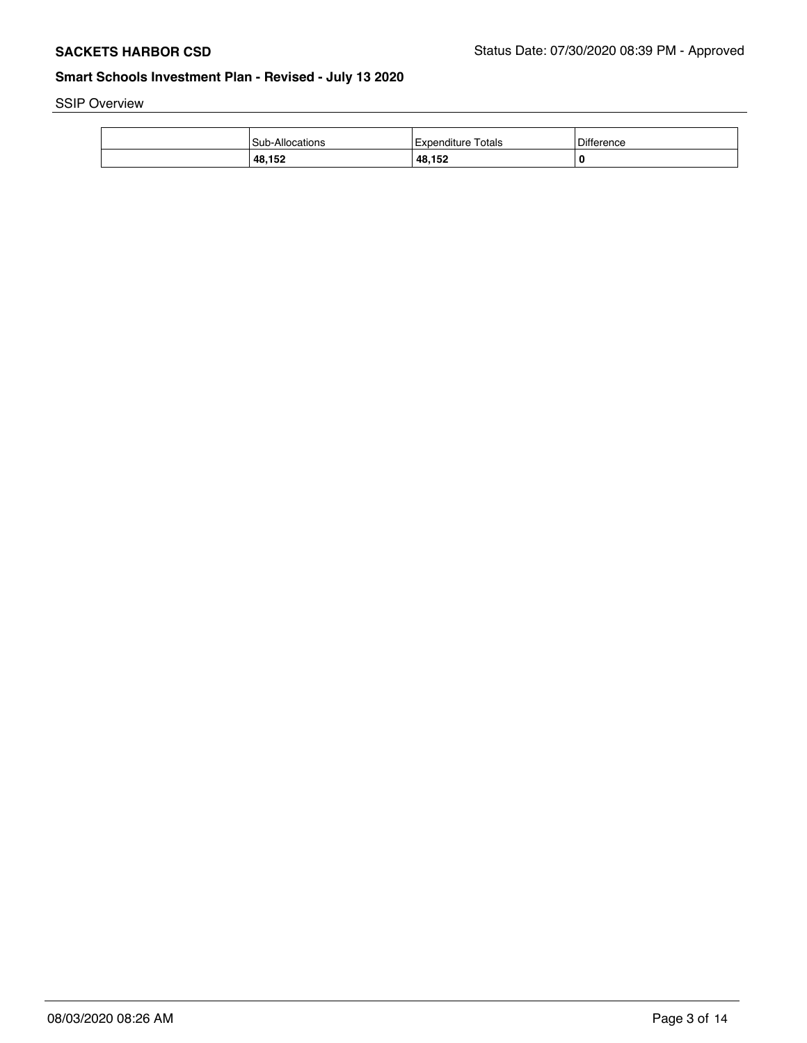SSIP Overview

| Sub-Allocations | Totals<br>Expenditure | Difference |
|-----------------|-----------------------|------------|
| 48,152          | 48,152                | O          |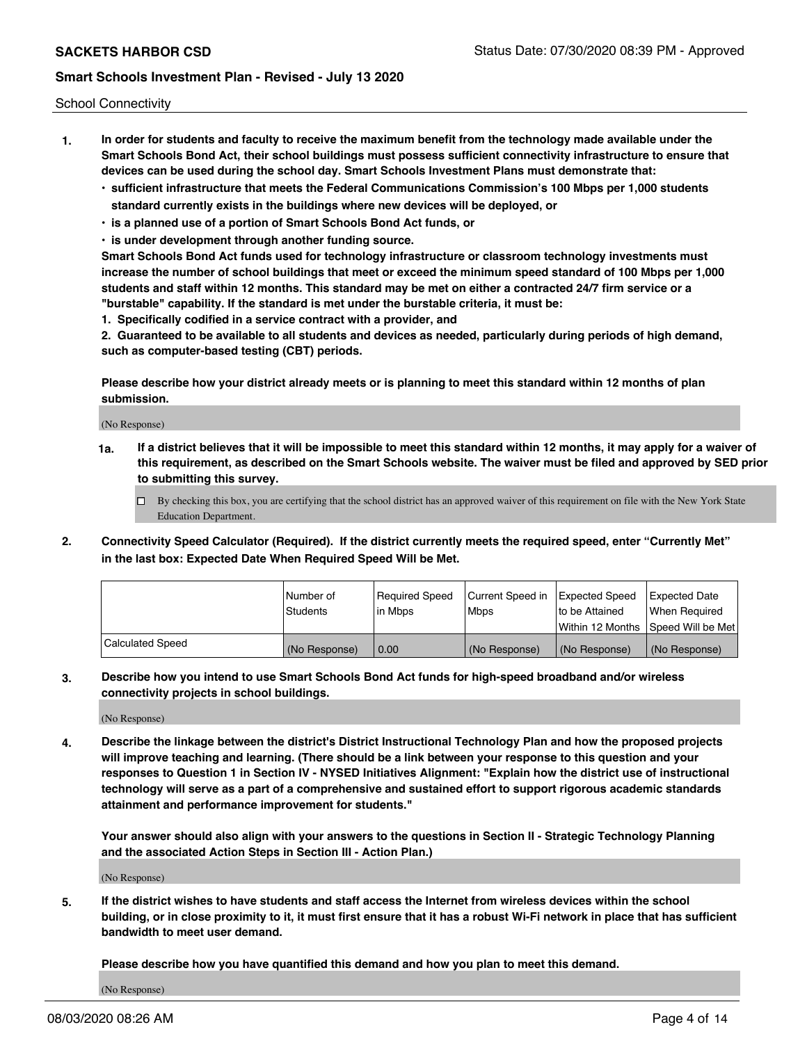School Connectivity

- **1. In order for students and faculty to receive the maximum benefit from the technology made available under the Smart Schools Bond Act, their school buildings must possess sufficient connectivity infrastructure to ensure that devices can be used during the school day. Smart Schools Investment Plans must demonstrate that:**
	- **• sufficient infrastructure that meets the Federal Communications Commission's 100 Mbps per 1,000 students standard currently exists in the buildings where new devices will be deployed, or**
	- **• is a planned use of a portion of Smart Schools Bond Act funds, or**
	- **• is under development through another funding source.**

**Smart Schools Bond Act funds used for technology infrastructure or classroom technology investments must increase the number of school buildings that meet or exceed the minimum speed standard of 100 Mbps per 1,000 students and staff within 12 months. This standard may be met on either a contracted 24/7 firm service or a "burstable" capability. If the standard is met under the burstable criteria, it must be:**

**1. Specifically codified in a service contract with a provider, and**

**2. Guaranteed to be available to all students and devices as needed, particularly during periods of high demand, such as computer-based testing (CBT) periods.**

**Please describe how your district already meets or is planning to meet this standard within 12 months of plan submission.**

(No Response)

**1a. If a district believes that it will be impossible to meet this standard within 12 months, it may apply for a waiver of this requirement, as described on the Smart Schools website. The waiver must be filed and approved by SED prior to submitting this survey.**

 $\Box$  By checking this box, you are certifying that the school district has an approved waiver of this requirement on file with the New York State Education Department.

**2. Connectivity Speed Calculator (Required). If the district currently meets the required speed, enter "Currently Met" in the last box: Expected Date When Required Speed Will be Met.**

|                  | l Number of   | Reauired Speed | Current Speed in | Expected Speed | Expected Date                       |
|------------------|---------------|----------------|------------------|----------------|-------------------------------------|
|                  | Students      | l in Mbps      | l Mbps           | to be Attained | When Required                       |
|                  |               |                |                  |                | Within 12 Months ISpeed Will be Met |
| Calculated Speed | (No Response) | 0.00           | (No Response)    | (No Response)  | (No Response)                       |

**3. Describe how you intend to use Smart Schools Bond Act funds for high-speed broadband and/or wireless connectivity projects in school buildings.**

(No Response)

**4. Describe the linkage between the district's District Instructional Technology Plan and how the proposed projects will improve teaching and learning. (There should be a link between your response to this question and your responses to Question 1 in Section IV - NYSED Initiatives Alignment: "Explain how the district use of instructional technology will serve as a part of a comprehensive and sustained effort to support rigorous academic standards attainment and performance improvement for students."** 

**Your answer should also align with your answers to the questions in Section II - Strategic Technology Planning and the associated Action Steps in Section III - Action Plan.)**

(No Response)

**5. If the district wishes to have students and staff access the Internet from wireless devices within the school building, or in close proximity to it, it must first ensure that it has a robust Wi-Fi network in place that has sufficient bandwidth to meet user demand.**

**Please describe how you have quantified this demand and how you plan to meet this demand.**

(No Response)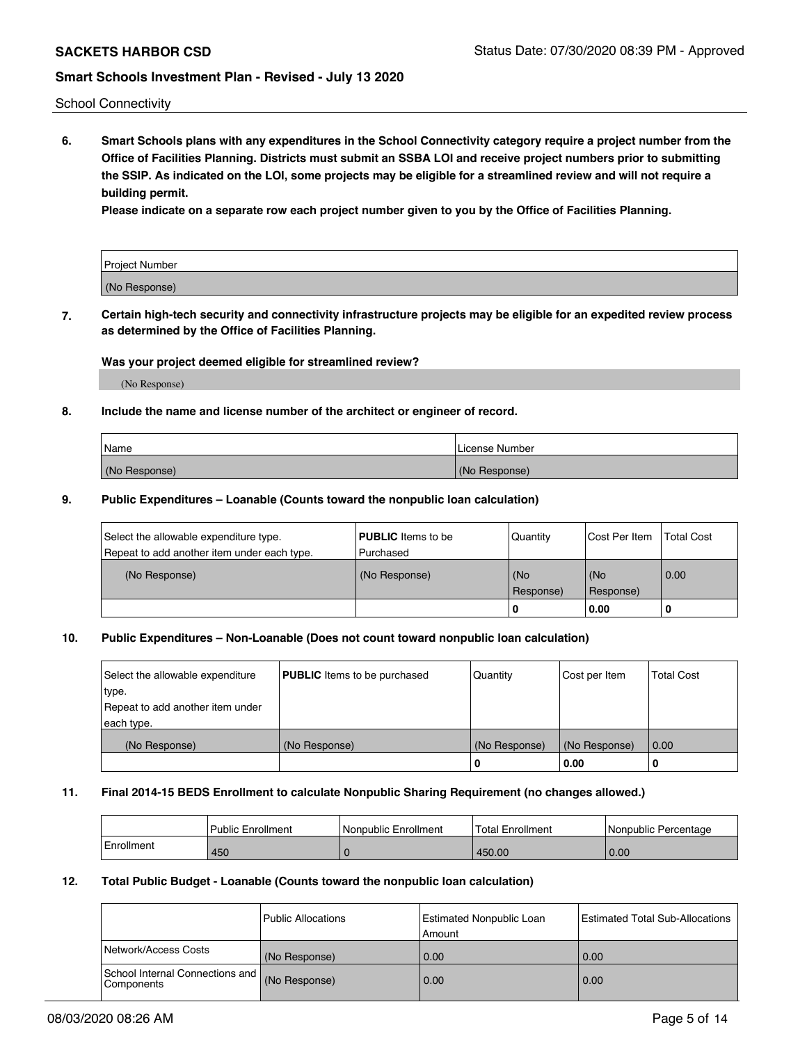School Connectivity

**6. Smart Schools plans with any expenditures in the School Connectivity category require a project number from the Office of Facilities Planning. Districts must submit an SSBA LOI and receive project numbers prior to submitting the SSIP. As indicated on the LOI, some projects may be eligible for a streamlined review and will not require a building permit.**

**Please indicate on a separate row each project number given to you by the Office of Facilities Planning.**

| Project Number |  |
|----------------|--|
| (No Response)  |  |

**7. Certain high-tech security and connectivity infrastructure projects may be eligible for an expedited review process as determined by the Office of Facilities Planning.**

## **Was your project deemed eligible for streamlined review?**

(No Response)

### **8. Include the name and license number of the architect or engineer of record.**

| Name          | License Number |
|---------------|----------------|
| (No Response) | (No Response)  |

### **9. Public Expenditures – Loanable (Counts toward the nonpublic loan calculation)**

| Select the allowable expenditure type.<br>Repeat to add another item under each type. | <b>PUBLIC</b> Items to be<br>l Purchased | Quantity             | Cost Per Item    | <b>Total Cost</b> |
|---------------------------------------------------------------------------------------|------------------------------------------|----------------------|------------------|-------------------|
| (No Response)                                                                         | (No Response)                            | l (No<br>l Response) | (No<br>Response) | 0.00              |
|                                                                                       |                                          | 0                    | 0.00             |                   |

## **10. Public Expenditures – Non-Loanable (Does not count toward nonpublic loan calculation)**

| Select the allowable expenditure | <b>PUBLIC</b> Items to be purchased | Quantity      | Cost per Item | <b>Total Cost</b> |
|----------------------------------|-------------------------------------|---------------|---------------|-------------------|
| type.                            |                                     |               |               |                   |
| Repeat to add another item under |                                     |               |               |                   |
| each type.                       |                                     |               |               |                   |
| (No Response)                    | (No Response)                       | (No Response) | (No Response) | 0.00              |
|                                  |                                     |               | 0.00          |                   |

### **11. Final 2014-15 BEDS Enrollment to calculate Nonpublic Sharing Requirement (no changes allowed.)**

|            | Public Enrollment | Nonpublic Enrollment | Total Enrollment | l Nonpublic Percentage |
|------------|-------------------|----------------------|------------------|------------------------|
| Enrollment | 450               |                      | 450.00           | 0.00                   |

### **12. Total Public Budget - Loanable (Counts toward the nonpublic loan calculation)**

|                                                      | l Public Allocations | <b>Estimated Nonpublic Loan</b><br>Amount | Estimated Total Sub-Allocations |
|------------------------------------------------------|----------------------|-------------------------------------------|---------------------------------|
| Network/Access Costs                                 | (No Response)        | 0.00                                      | 0.00                            |
| School Internal Connections and<br><b>Components</b> | (No Response)        | 0.00                                      | 0.00                            |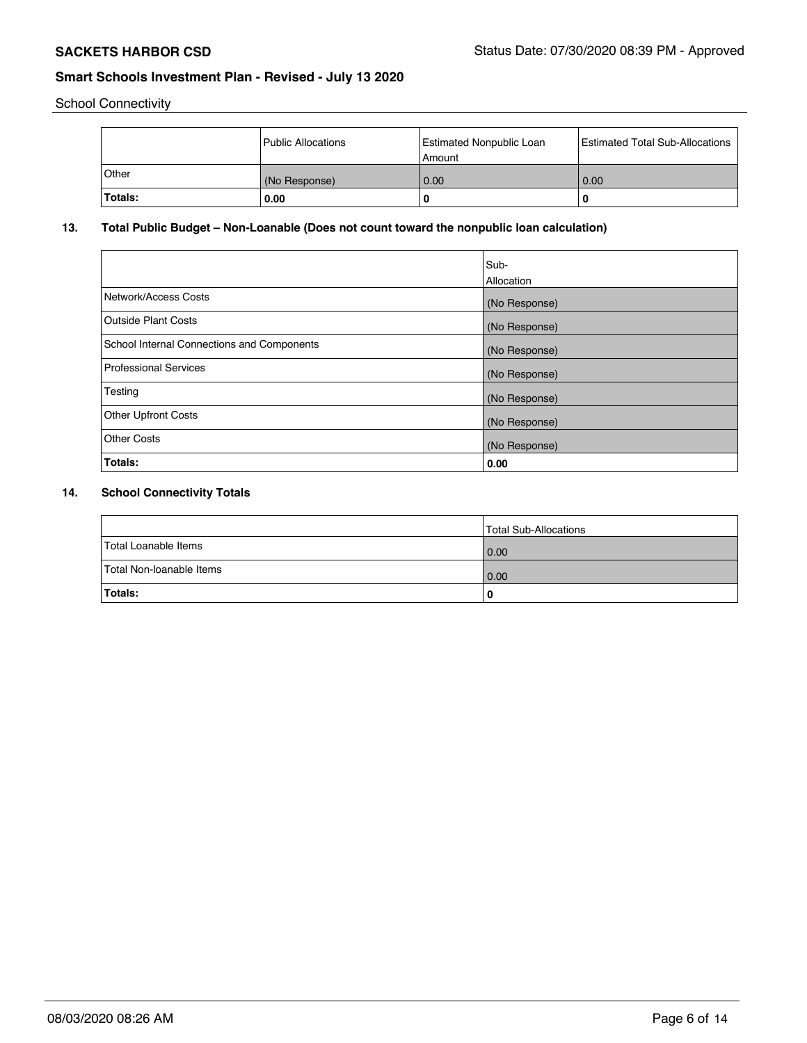School Connectivity

|         | Public Allocations | <b>Estimated Nonpublic Loan</b><br>Amount | <b>Estimated Total Sub-Allocations</b> |
|---------|--------------------|-------------------------------------------|----------------------------------------|
| ∣Other  | (No Response)      | 0.00                                      | 0.00                                   |
| Totals: | 0.00               |                                           | O                                      |

## **13. Total Public Budget – Non-Loanable (Does not count toward the nonpublic loan calculation)**

|                                            | Sub-<br>Allocation |
|--------------------------------------------|--------------------|
| Network/Access Costs                       | (No Response)      |
| Outside Plant Costs                        | (No Response)      |
| School Internal Connections and Components | (No Response)      |
| <b>Professional Services</b>               | (No Response)      |
| Testing                                    | (No Response)      |
| <b>Other Upfront Costs</b>                 | (No Response)      |
| Other Costs                                | (No Response)      |
| Totals:                                    | 0.00               |

## **14. School Connectivity Totals**

|                          | Total Sub-Allocations |
|--------------------------|-----------------------|
| Total Loanable Items     | 0.00                  |
| Total Non-Ioanable Items | 0.00                  |
| Totals:                  | 0                     |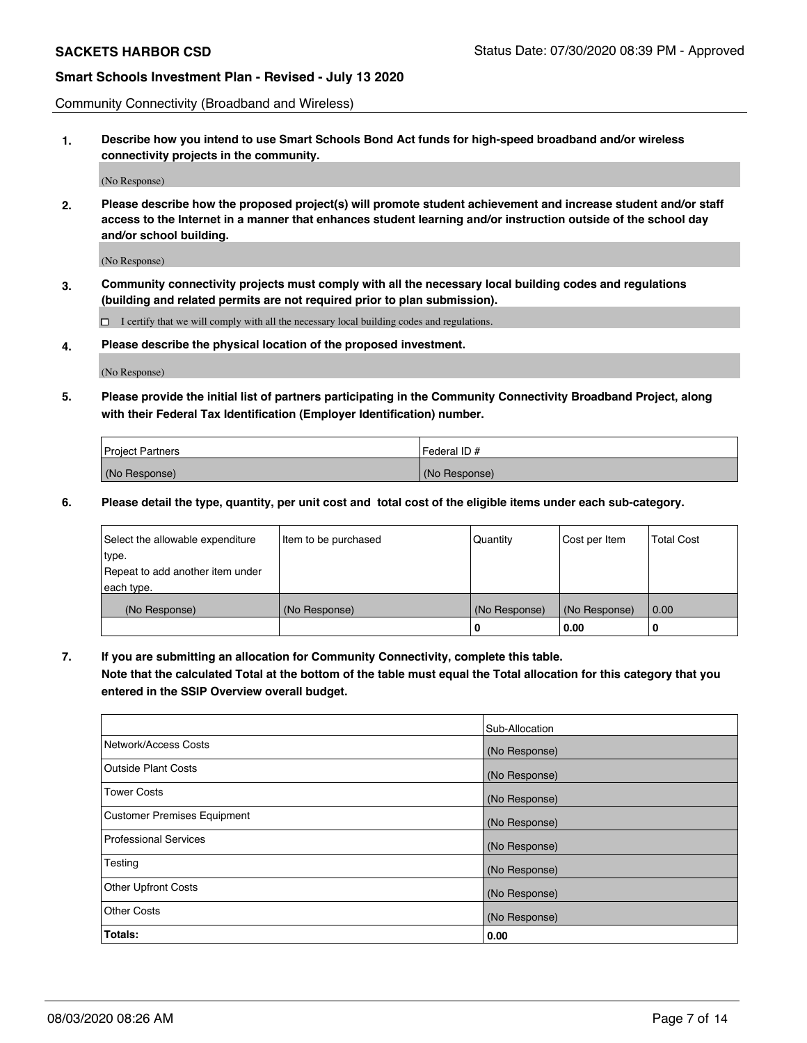Community Connectivity (Broadband and Wireless)

**1. Describe how you intend to use Smart Schools Bond Act funds for high-speed broadband and/or wireless connectivity projects in the community.**

(No Response)

**2. Please describe how the proposed project(s) will promote student achievement and increase student and/or staff access to the Internet in a manner that enhances student learning and/or instruction outside of the school day and/or school building.**

(No Response)

**3. Community connectivity projects must comply with all the necessary local building codes and regulations (building and related permits are not required prior to plan submission).**

 $\Box$  I certify that we will comply with all the necessary local building codes and regulations.

**4. Please describe the physical location of the proposed investment.**

(No Response)

**5. Please provide the initial list of partners participating in the Community Connectivity Broadband Project, along with their Federal Tax Identification (Employer Identification) number.**

| <b>Project Partners</b> | l Federal ID # |
|-------------------------|----------------|
| (No Response)           | (No Response)  |

**6. Please detail the type, quantity, per unit cost and total cost of the eligible items under each sub-category.**

| Select the allowable expenditure | Item to be purchased | Quantity      | Cost per Item | <b>Total Cost</b> |
|----------------------------------|----------------------|---------------|---------------|-------------------|
| type.                            |                      |               |               |                   |
| Repeat to add another item under |                      |               |               |                   |
| each type.                       |                      |               |               |                   |
| (No Response)                    | (No Response)        | (No Response) | (No Response) | 0.00              |
|                                  |                      | o             | 0.00          | 0                 |

**7. If you are submitting an allocation for Community Connectivity, complete this table.**

**Note that the calculated Total at the bottom of the table must equal the Total allocation for this category that you entered in the SSIP Overview overall budget.**

|                                    | Sub-Allocation |
|------------------------------------|----------------|
| Network/Access Costs               | (No Response)  |
| <b>Outside Plant Costs</b>         | (No Response)  |
| <b>Tower Costs</b>                 | (No Response)  |
| <b>Customer Premises Equipment</b> | (No Response)  |
| <b>Professional Services</b>       | (No Response)  |
| Testing                            | (No Response)  |
| <b>Other Upfront Costs</b>         | (No Response)  |
| <b>Other Costs</b>                 | (No Response)  |
| Totals:                            | 0.00           |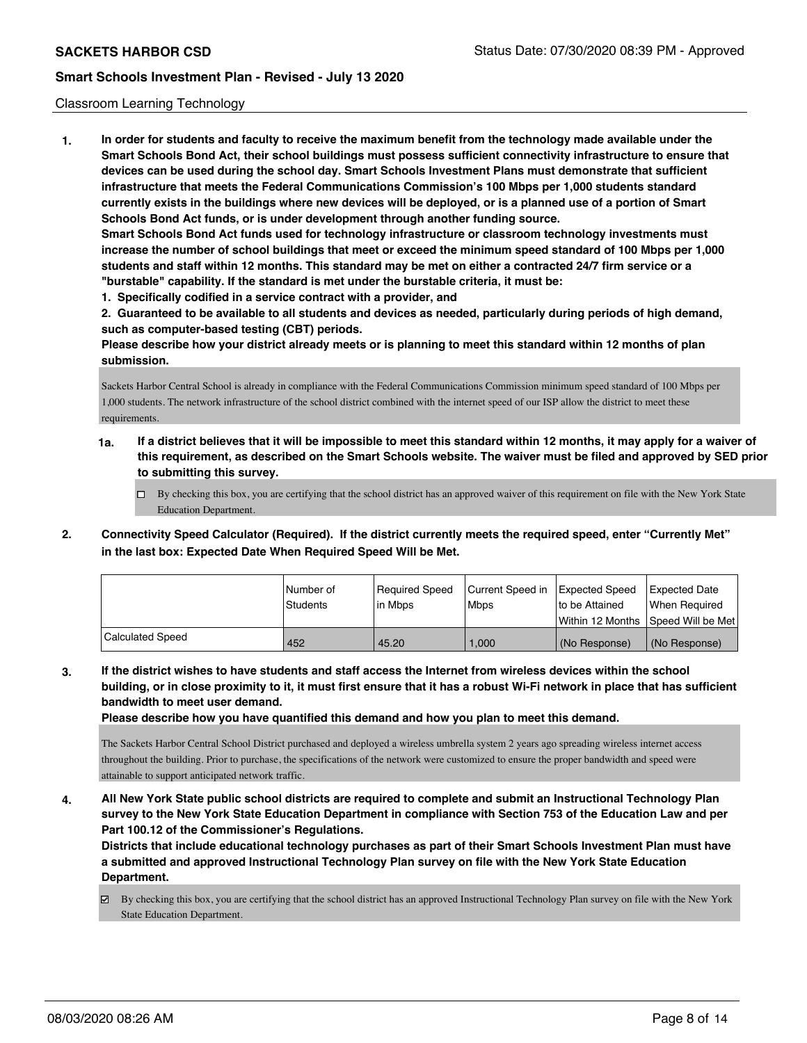### Classroom Learning Technology

**1. In order for students and faculty to receive the maximum benefit from the technology made available under the Smart Schools Bond Act, their school buildings must possess sufficient connectivity infrastructure to ensure that devices can be used during the school day. Smart Schools Investment Plans must demonstrate that sufficient infrastructure that meets the Federal Communications Commission's 100 Mbps per 1,000 students standard currently exists in the buildings where new devices will be deployed, or is a planned use of a portion of Smart Schools Bond Act funds, or is under development through another funding source. Smart Schools Bond Act funds used for technology infrastructure or classroom technology investments must increase the number of school buildings that meet or exceed the minimum speed standard of 100 Mbps per 1,000 students and staff within 12 months. This standard may be met on either a contracted 24/7 firm service or a "burstable" capability. If the standard is met under the burstable criteria, it must be: 1. Specifically codified in a service contract with a provider, and**

**2. Guaranteed to be available to all students and devices as needed, particularly during periods of high demand,**

**such as computer-based testing (CBT) periods. Please describe how your district already meets or is planning to meet this standard within 12 months of plan submission.**

Sackets Harbor Central School is already in compliance with the Federal Communications Commission minimum speed standard of 100 Mbps per 1,000 students. The network infrastructure of the school district combined with the internet speed of our ISP allow the district to meet these requirements.

- **1a. If a district believes that it will be impossible to meet this standard within 12 months, it may apply for a waiver of this requirement, as described on the Smart Schools website. The waiver must be filed and approved by SED prior to submitting this survey.**
	- $\Box$  By checking this box, you are certifying that the school district has an approved waiver of this requirement on file with the New York State Education Department.
- **2. Connectivity Speed Calculator (Required). If the district currently meets the required speed, enter "Currently Met" in the last box: Expected Date When Required Speed Will be Met.**

|                  | Number of | Reauired Speed | Current Speed in | Expected Speed     | <b>Expected Date</b> |
|------------------|-----------|----------------|------------------|--------------------|----------------------|
|                  | Students  | lin Mbps       | <b>Mbps</b>      | Ito be Attained    | When Reauired        |
|                  |           |                |                  | l Within 12 Months | Speed Will be Met    |
| Calculated Speed | 452       | 45.20          | 1.000            | (No Response)      | (No Response)        |

**3. If the district wishes to have students and staff access the Internet from wireless devices within the school building, or in close proximity to it, it must first ensure that it has a robust Wi-Fi network in place that has sufficient bandwidth to meet user demand.**

**Please describe how you have quantified this demand and how you plan to meet this demand.**

The Sackets Harbor Central School District purchased and deployed a wireless umbrella system 2 years ago spreading wireless internet access throughout the building. Prior to purchase, the specifications of the network were customized to ensure the proper bandwidth and speed were attainable to support anticipated network traffic.

**4. All New York State public school districts are required to complete and submit an Instructional Technology Plan survey to the New York State Education Department in compliance with Section 753 of the Education Law and per Part 100.12 of the Commissioner's Regulations.**

**Districts that include educational technology purchases as part of their Smart Schools Investment Plan must have a submitted and approved Instructional Technology Plan survey on file with the New York State Education Department.**

By checking this box, you are certifying that the school district has an approved Instructional Technology Plan survey on file with the New York State Education Department.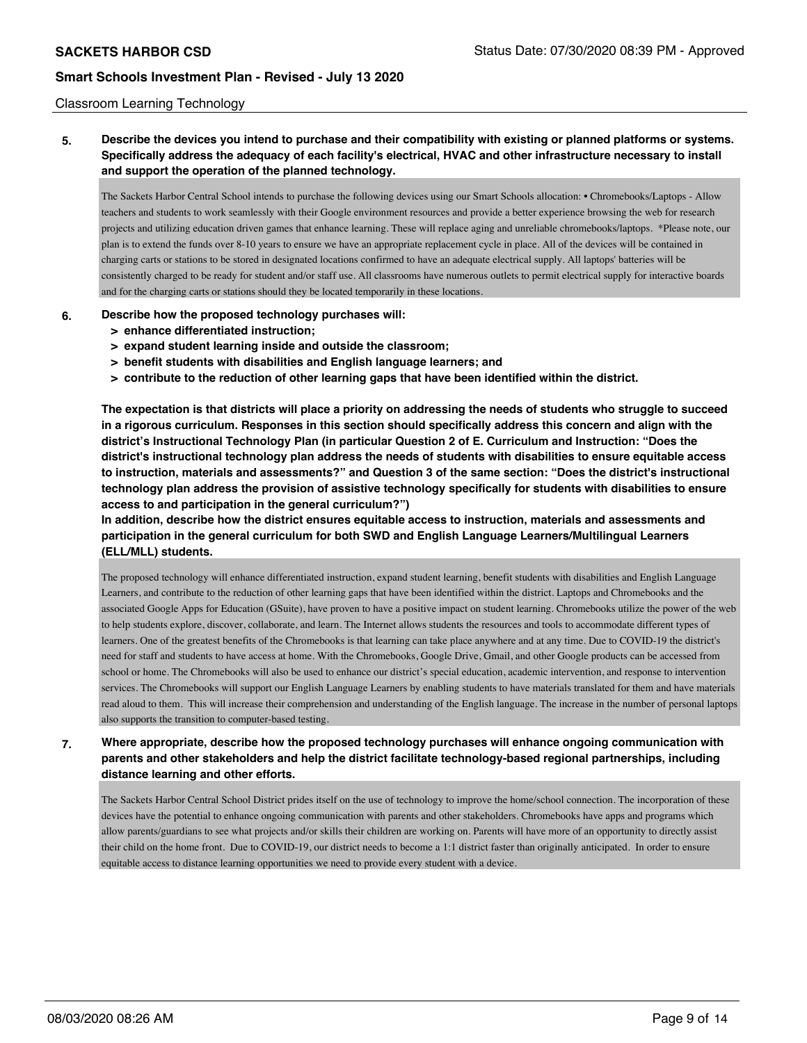### Classroom Learning Technology

**5. Describe the devices you intend to purchase and their compatibility with existing or planned platforms or systems. Specifically address the adequacy of each facility's electrical, HVAC and other infrastructure necessary to install and support the operation of the planned technology.**

The Sackets Harbor Central School intends to purchase the following devices using our Smart Schools allocation: • Chromebooks/Laptops - Allow teachers and students to work seamlessly with their Google environment resources and provide a better experience browsing the web for research projects and utilizing education driven games that enhance learning. These will replace aging and unreliable chromebooks/laptops. \*Please note, our plan is to extend the funds over 8-10 years to ensure we have an appropriate replacement cycle in place. All of the devices will be contained in charging carts or stations to be stored in designated locations confirmed to have an adequate electrical supply. All laptops' batteries will be consistently charged to be ready for student and/or staff use. All classrooms have numerous outlets to permit electrical supply for interactive boards and for the charging carts or stations should they be located temporarily in these locations.

### **6. Describe how the proposed technology purchases will:**

- **> enhance differentiated instruction;**
- **> expand student learning inside and outside the classroom;**
- **> benefit students with disabilities and English language learners; and**
- **> contribute to the reduction of other learning gaps that have been identified within the district.**

**The expectation is that districts will place a priority on addressing the needs of students who struggle to succeed in a rigorous curriculum. Responses in this section should specifically address this concern and align with the district's Instructional Technology Plan (in particular Question 2 of E. Curriculum and Instruction: "Does the district's instructional technology plan address the needs of students with disabilities to ensure equitable access to instruction, materials and assessments?" and Question 3 of the same section: "Does the district's instructional technology plan address the provision of assistive technology specifically for students with disabilities to ensure access to and participation in the general curriculum?")**

**In addition, describe how the district ensures equitable access to instruction, materials and assessments and participation in the general curriculum for both SWD and English Language Learners/Multilingual Learners (ELL/MLL) students.**

The proposed technology will enhance differentiated instruction, expand student learning, benefit students with disabilities and English Language Learners, and contribute to the reduction of other learning gaps that have been identified within the district. Laptops and Chromebooks and the associated Google Apps for Education (GSuite), have proven to have a positive impact on student learning. Chromebooks utilize the power of the web to help students explore, discover, collaborate, and learn. The Internet allows students the resources and tools to accommodate different types of learners. One of the greatest benefits of the Chromebooks is that learning can take place anywhere and at any time. Due to COVID-19 the district's need for staff and students to have access at home. With the Chromebooks, Google Drive, Gmail, and other Google products can be accessed from school or home. The Chromebooks will also be used to enhance our district's special education, academic intervention, and response to intervention services. The Chromebooks will support our English Language Learners by enabling students to have materials translated for them and have materials read aloud to them. This will increase their comprehension and understanding of the English language. The increase in the number of personal laptops also supports the transition to computer-based testing.

**7. Where appropriate, describe how the proposed technology purchases will enhance ongoing communication with parents and other stakeholders and help the district facilitate technology-based regional partnerships, including distance learning and other efforts.**

The Sackets Harbor Central School District prides itself on the use of technology to improve the home/school connection. The incorporation of these devices have the potential to enhance ongoing communication with parents and other stakeholders. Chromebooks have apps and programs which allow parents/guardians to see what projects and/or skills their children are working on. Parents will have more of an opportunity to directly assist their child on the home front. Due to COVID-19, our district needs to become a 1:1 district faster than originally anticipated. In order to ensure equitable access to distance learning opportunities we need to provide every student with a device.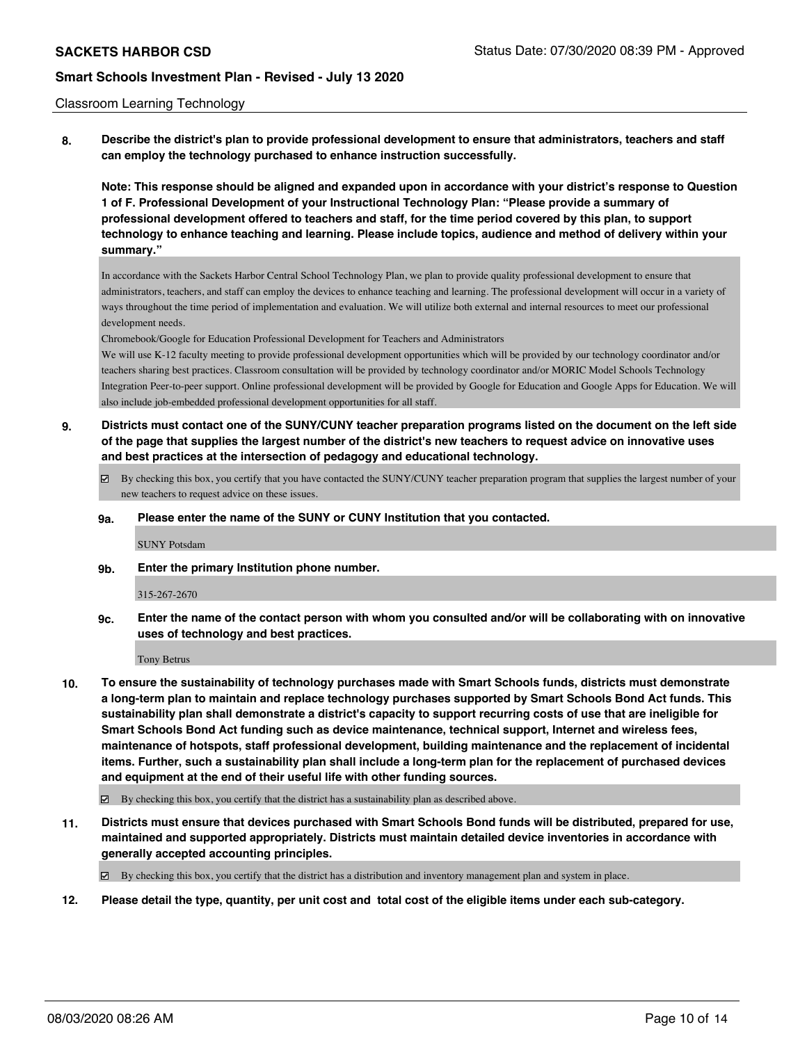### Classroom Learning Technology

**8. Describe the district's plan to provide professional development to ensure that administrators, teachers and staff can employ the technology purchased to enhance instruction successfully.**

**Note: This response should be aligned and expanded upon in accordance with your district's response to Question 1 of F. Professional Development of your Instructional Technology Plan: "Please provide a summary of professional development offered to teachers and staff, for the time period covered by this plan, to support technology to enhance teaching and learning. Please include topics, audience and method of delivery within your summary."**

In accordance with the Sackets Harbor Central School Technology Plan, we plan to provide quality professional development to ensure that administrators, teachers, and staff can employ the devices to enhance teaching and learning. The professional development will occur in a variety of ways throughout the time period of implementation and evaluation. We will utilize both external and internal resources to meet our professional development needs.

Chromebook/Google for Education Professional Development for Teachers and Administrators

We will use K-12 faculty meeting to provide professional development opportunities which will be provided by our technology coordinator and/or teachers sharing best practices. Classroom consultation will be provided by technology coordinator and/or MORIC Model Schools Technology Integration Peer-to-peer support. Online professional development will be provided by Google for Education and Google Apps for Education. We will also include job-embedded professional development opportunities for all staff.

- **9. Districts must contact one of the SUNY/CUNY teacher preparation programs listed on the document on the left side of the page that supplies the largest number of the district's new teachers to request advice on innovative uses and best practices at the intersection of pedagogy and educational technology.**
	- By checking this box, you certify that you have contacted the SUNY/CUNY teacher preparation program that supplies the largest number of your new teachers to request advice on these issues.

### **9a. Please enter the name of the SUNY or CUNY Institution that you contacted.**

SUNY Potsdam

**9b. Enter the primary Institution phone number.**

### 315-267-2670

**9c. Enter the name of the contact person with whom you consulted and/or will be collaborating with on innovative uses of technology and best practices.**

Tony Betrus

- **10. To ensure the sustainability of technology purchases made with Smart Schools funds, districts must demonstrate a long-term plan to maintain and replace technology purchases supported by Smart Schools Bond Act funds. This sustainability plan shall demonstrate a district's capacity to support recurring costs of use that are ineligible for Smart Schools Bond Act funding such as device maintenance, technical support, Internet and wireless fees, maintenance of hotspots, staff professional development, building maintenance and the replacement of incidental items. Further, such a sustainability plan shall include a long-term plan for the replacement of purchased devices and equipment at the end of their useful life with other funding sources.**
	- $\boxtimes$  By checking this box, you certify that the district has a sustainability plan as described above.
- **11. Districts must ensure that devices purchased with Smart Schools Bond funds will be distributed, prepared for use, maintained and supported appropriately. Districts must maintain detailed device inventories in accordance with generally accepted accounting principles.**

By checking this box, you certify that the district has a distribution and inventory management plan and system in place.

**12. Please detail the type, quantity, per unit cost and total cost of the eligible items under each sub-category.**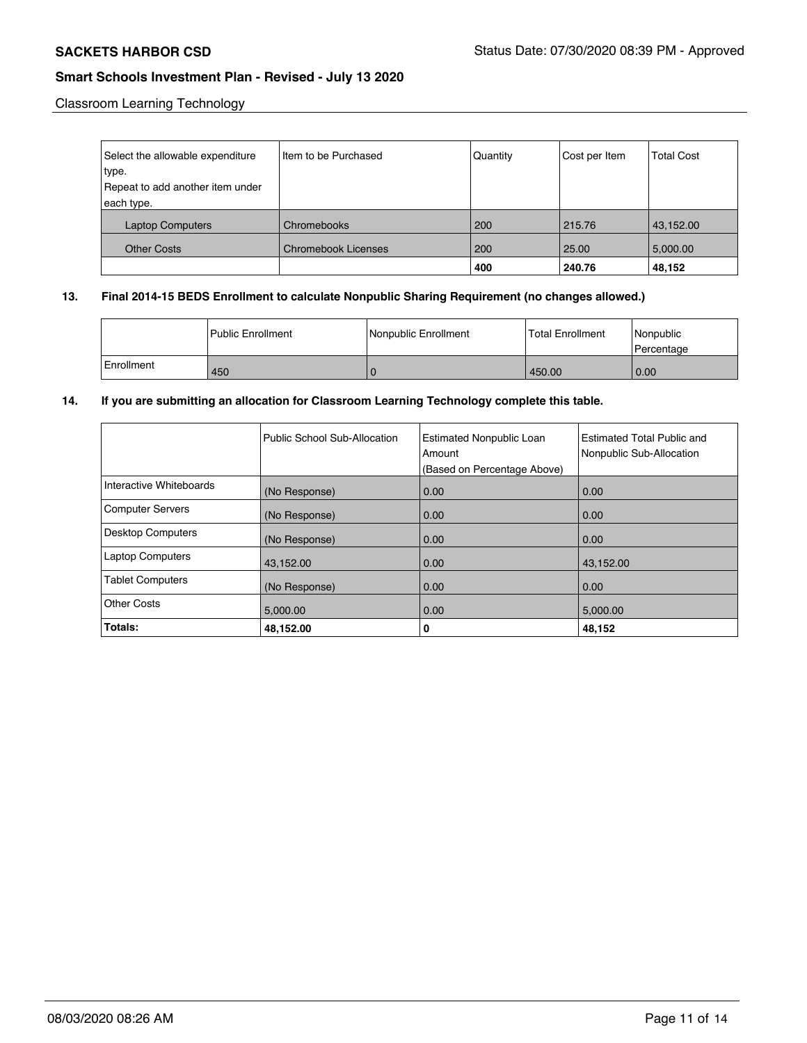Classroom Learning Technology

| Select the allowable expenditure | Item to be Purchased       | Quantity | Cost per Item | <b>Total Cost</b> |
|----------------------------------|----------------------------|----------|---------------|-------------------|
| type.                            |                            |          |               |                   |
| Repeat to add another item under |                            |          |               |                   |
| each type.                       |                            |          |               |                   |
| <b>Laptop Computers</b>          | Chromebooks                | 200      | 215.76        | 43,152.00         |
| <b>Other Costs</b>               | <b>Chromebook Licenses</b> | 200      | 25.00         | 5,000.00          |
|                                  |                            | 400      | 240.76        | 48,152            |

## **13. Final 2014-15 BEDS Enrollment to calculate Nonpublic Sharing Requirement (no changes allowed.)**

|            | l Public Enrollment | Nonpublic Enrollment | Total Enrollment | l Nonpublic<br>l Percentage |
|------------|---------------------|----------------------|------------------|-----------------------------|
| Enrollment | 450                 |                      | 450.00           | 0.00                        |

## **14. If you are submitting an allocation for Classroom Learning Technology complete this table.**

|                          | Public School Sub-Allocation | <b>Estimated Nonpublic Loan</b><br>Amount | Estimated Total Public and<br>Nonpublic Sub-Allocation |
|--------------------------|------------------------------|-------------------------------------------|--------------------------------------------------------|
|                          |                              | (Based on Percentage Above)               |                                                        |
| Interactive Whiteboards  | (No Response)                | 0.00                                      | 0.00                                                   |
| <b>Computer Servers</b>  | (No Response)                | 0.00                                      | 0.00                                                   |
| <b>Desktop Computers</b> | (No Response)                | 0.00                                      | 0.00                                                   |
| <b>Laptop Computers</b>  | 43,152.00                    | 0.00                                      | 43,152.00                                              |
| <b>Tablet Computers</b>  | (No Response)                | 0.00                                      | 0.00                                                   |
| Other Costs              | 5,000.00                     | 0.00                                      | 5,000.00                                               |
| Totals:                  | 48,152.00                    | 0                                         | 48,152                                                 |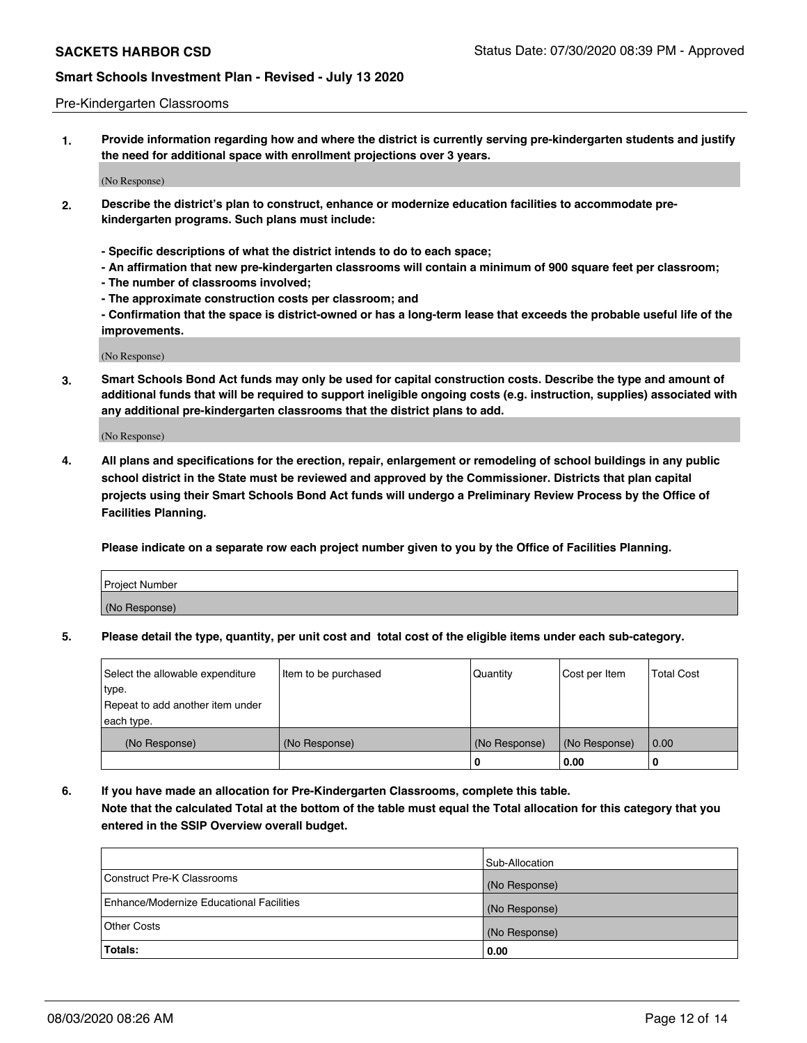### Pre-Kindergarten Classrooms

**1. Provide information regarding how and where the district is currently serving pre-kindergarten students and justify the need for additional space with enrollment projections over 3 years.**

(No Response)

- **2. Describe the district's plan to construct, enhance or modernize education facilities to accommodate prekindergarten programs. Such plans must include:**
	- **Specific descriptions of what the district intends to do to each space;**
	- **An affirmation that new pre-kindergarten classrooms will contain a minimum of 900 square feet per classroom;**
	- **The number of classrooms involved;**
	- **The approximate construction costs per classroom; and**
	- **Confirmation that the space is district-owned or has a long-term lease that exceeds the probable useful life of the improvements.**

(No Response)

**3. Smart Schools Bond Act funds may only be used for capital construction costs. Describe the type and amount of additional funds that will be required to support ineligible ongoing costs (e.g. instruction, supplies) associated with any additional pre-kindergarten classrooms that the district plans to add.**

(No Response)

**4. All plans and specifications for the erection, repair, enlargement or remodeling of school buildings in any public school district in the State must be reviewed and approved by the Commissioner. Districts that plan capital projects using their Smart Schools Bond Act funds will undergo a Preliminary Review Process by the Office of Facilities Planning.**

**Please indicate on a separate row each project number given to you by the Office of Facilities Planning.**

| Project Number |  |
|----------------|--|
| (No Response)  |  |
|                |  |

**5. Please detail the type, quantity, per unit cost and total cost of the eligible items under each sub-category.**

| Select the allowable expenditure | Item to be purchased | Quantity      | Cost per Item | <b>Total Cost</b> |
|----------------------------------|----------------------|---------------|---------------|-------------------|
| type.                            |                      |               |               |                   |
| Repeat to add another item under |                      |               |               |                   |
| each type.                       |                      |               |               |                   |
| (No Response)                    | (No Response)        | (No Response) | (No Response) | 0.00              |
|                                  |                      | υ             | 0.00          |                   |

**6. If you have made an allocation for Pre-Kindergarten Classrooms, complete this table. Note that the calculated Total at the bottom of the table must equal the Total allocation for this category that you entered in the SSIP Overview overall budget.**

|                                          | Sub-Allocation |
|------------------------------------------|----------------|
| Construct Pre-K Classrooms               | (No Response)  |
| Enhance/Modernize Educational Facilities | (No Response)  |
| <b>Other Costs</b>                       | (No Response)  |
| Totals:                                  | 0.00           |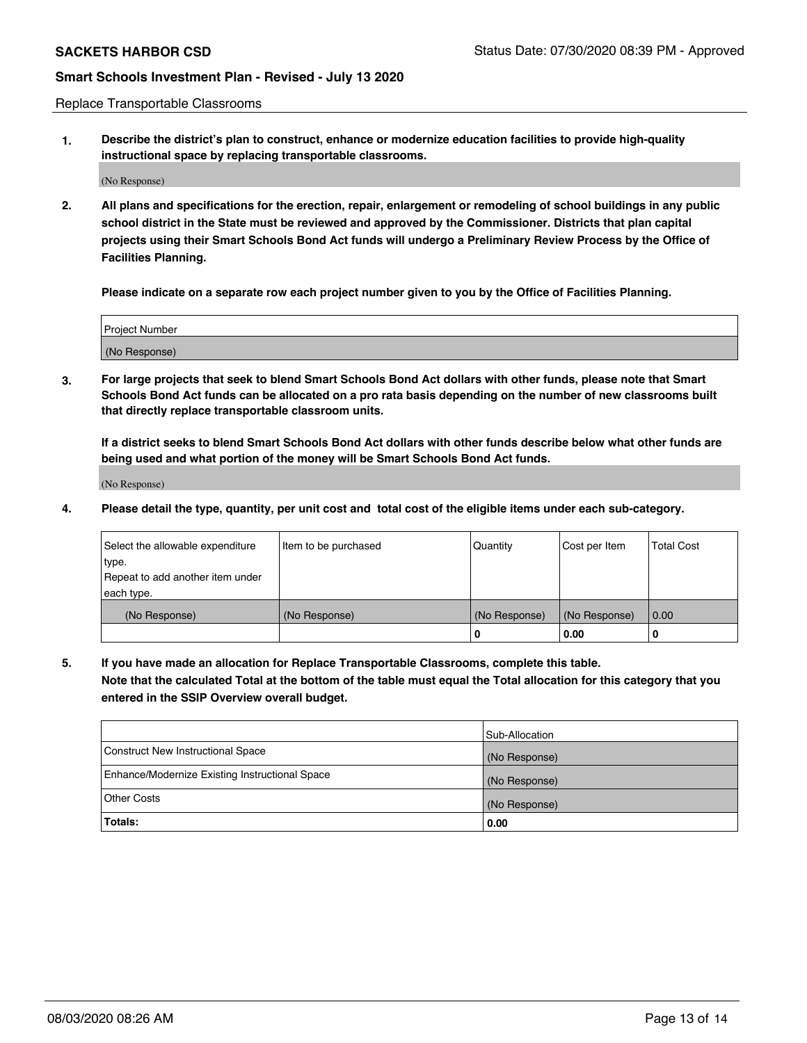Replace Transportable Classrooms

**1. Describe the district's plan to construct, enhance or modernize education facilities to provide high-quality instructional space by replacing transportable classrooms.**

(No Response)

**2. All plans and specifications for the erection, repair, enlargement or remodeling of school buildings in any public school district in the State must be reviewed and approved by the Commissioner. Districts that plan capital projects using their Smart Schools Bond Act funds will undergo a Preliminary Review Process by the Office of Facilities Planning.**

**Please indicate on a separate row each project number given to you by the Office of Facilities Planning.**

| Project Number |  |
|----------------|--|
|                |  |
|                |  |
| (No Response)  |  |
|                |  |

**3. For large projects that seek to blend Smart Schools Bond Act dollars with other funds, please note that Smart Schools Bond Act funds can be allocated on a pro rata basis depending on the number of new classrooms built that directly replace transportable classroom units.**

**If a district seeks to blend Smart Schools Bond Act dollars with other funds describe below what other funds are being used and what portion of the money will be Smart Schools Bond Act funds.**

(No Response)

**4. Please detail the type, quantity, per unit cost and total cost of the eligible items under each sub-category.**

| Select the allowable expenditure<br>∣type. | Item to be purchased | Quantity      | Cost per Item | <b>Total Cost</b> |
|--------------------------------------------|----------------------|---------------|---------------|-------------------|
| Repeat to add another item under           |                      |               |               |                   |
| each type.                                 |                      |               |               |                   |
| (No Response)                              | (No Response)        | (No Response) | (No Response) | 0.00              |
|                                            |                      | 0             | 0.00          |                   |

**5. If you have made an allocation for Replace Transportable Classrooms, complete this table. Note that the calculated Total at the bottom of the table must equal the Total allocation for this category that you entered in the SSIP Overview overall budget.**

|                                                | Sub-Allocation |
|------------------------------------------------|----------------|
| Construct New Instructional Space              | (No Response)  |
| Enhance/Modernize Existing Instructional Space | (No Response)  |
| Other Costs                                    | (No Response)  |
| Totals:                                        | 0.00           |